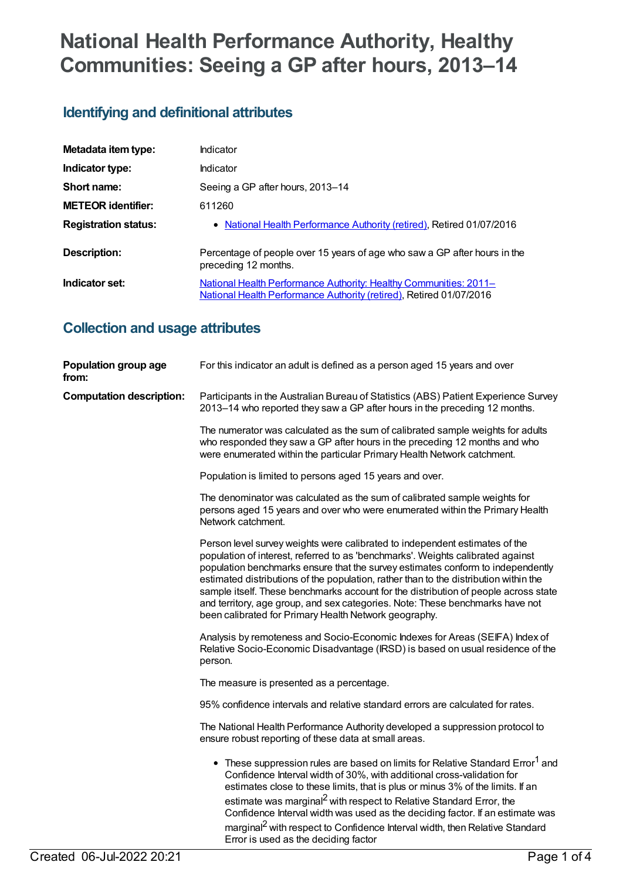# **National Health Performance Authority, Healthy Communities: Seeing a GP after hours, 2013–14**

# **Identifying and definitional attributes**

| Metadata item type:         | Indicator                                                                                                                                |
|-----------------------------|------------------------------------------------------------------------------------------------------------------------------------------|
| Indicator type:             | Indicator                                                                                                                                |
| Short name:                 | Seeing a GP after hours, 2013-14                                                                                                         |
| <b>METEOR identifier:</b>   | 611260                                                                                                                                   |
| <b>Registration status:</b> | • National Health Performance Authority (retired), Retired 01/07/2016                                                                    |
| Description:                | Percentage of people over 15 years of age who saw a GP after hours in the<br>preceding 12 months.                                        |
| Indicator set:              | National Health Performance Authority: Healthy Communities: 2011-<br>National Health Performance Authority (retired), Retired 01/07/2016 |

### **Collection and usage attributes**

| Population group age<br>from:   | For this indicator an adult is defined as a person aged 15 years and over                                                                                                                                                                                                                                                                                                                                                                                                                                                                                                   |
|---------------------------------|-----------------------------------------------------------------------------------------------------------------------------------------------------------------------------------------------------------------------------------------------------------------------------------------------------------------------------------------------------------------------------------------------------------------------------------------------------------------------------------------------------------------------------------------------------------------------------|
| <b>Computation description:</b> | Participants in the Australian Bureau of Statistics (ABS) Patient Experience Survey<br>2013–14 who reported they saw a GP after hours in the preceding 12 months.                                                                                                                                                                                                                                                                                                                                                                                                           |
|                                 | The numerator was calculated as the sum of calibrated sample weights for adults<br>who responded they saw a GP after hours in the preceding 12 months and who<br>were enumerated within the particular Primary Health Network catchment.                                                                                                                                                                                                                                                                                                                                    |
|                                 | Population is limited to persons aged 15 years and over.                                                                                                                                                                                                                                                                                                                                                                                                                                                                                                                    |
|                                 | The denominator was calculated as the sum of calibrated sample weights for<br>persons aged 15 years and over who were enumerated within the Primary Health<br>Network catchment.                                                                                                                                                                                                                                                                                                                                                                                            |
|                                 | Person level survey weights were calibrated to independent estimates of the<br>population of interest, referred to as 'benchmarks'. Weights calibrated against<br>population benchmarks ensure that the survey estimates conform to independently<br>estimated distributions of the population, rather than to the distribution within the<br>sample itself. These benchmarks account for the distribution of people across state<br>and territory, age group, and sex categories. Note: These benchmarks have not<br>been calibrated for Primary Health Network geography. |
|                                 | Analysis by remoteness and Socio-Economic Indexes for Areas (SEIFA) Index of<br>Relative Socio-Economic Disadvantage (IRSD) is based on usual residence of the<br>person.                                                                                                                                                                                                                                                                                                                                                                                                   |
|                                 | The measure is presented as a percentage.                                                                                                                                                                                                                                                                                                                                                                                                                                                                                                                                   |
|                                 | 95% confidence intervals and relative standard errors are calculated for rates.                                                                                                                                                                                                                                                                                                                                                                                                                                                                                             |
|                                 | The National Health Performance Authority developed a suppression protocol to<br>ensure robust reporting of these data at small areas.                                                                                                                                                                                                                                                                                                                                                                                                                                      |
|                                 | • These suppression rules are based on limits for Relative Standard Error <sup>1</sup> and<br>Confidence Interval width of 30%, with additional cross-validation for<br>estimates close to these limits, that is plus or minus 3% of the limits. If an<br>estimate was marginal <sup>2</sup> with respect to Relative Standard Error, the<br>Confidence Interval width was used as the deciding factor. If an estimate was<br>marginal <sup>2</sup> with respect to Confidence Interval width, then Relative Standard<br>Error is used as the deciding factor               |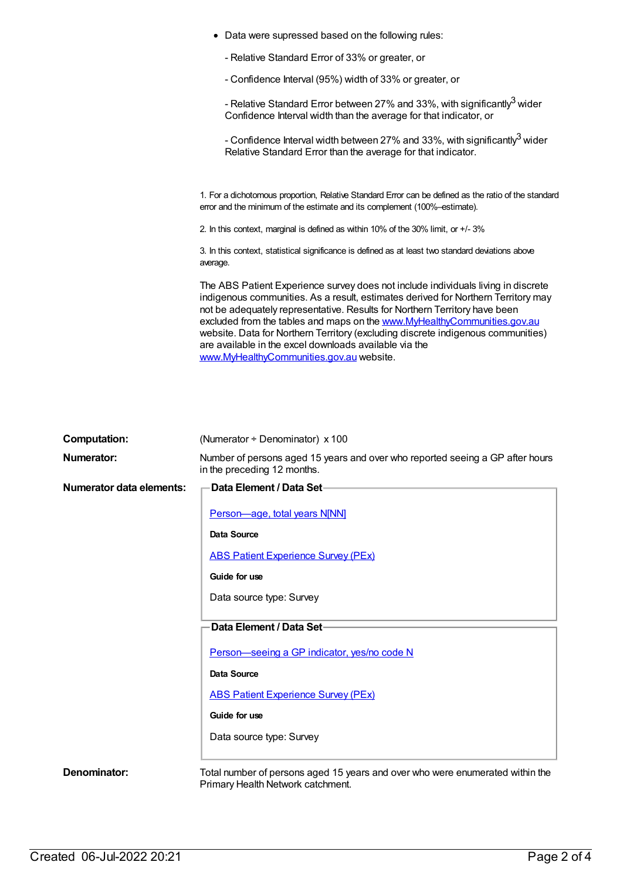Data were supressed based on the following rules: - Relative Standard Error of 33% or greater, or - Confidence Interval (95%) width of 33% or greater, or - Relative Standard Error between 27% and 33%, with significantly<sup>3</sup> wider Confidence Interval width than the average for that indicator, or - Confidence Interval width between 27% and 33%, with significantly $^3$  wider Relative Standard Error than the average for that indicator. 1. For a dichotomous proportion, Relative Standard Error can be defined as the ratio of the standard error and the minimum of the estimate and its complement (100%–estimate). 2. In this context, marginal is defined as within 10% of the 30% limit, or +/- 3% 3. In this context, statistical significance is defined as at least two standard deviations above average. The ABS Patient Experience survey does not include individuals living in discrete indigenous communities. As a result, estimates derived for Northern Territory may not be adequately representative. Results for Northern Territory have been excluded from the tables and maps on the [www.MyHealthyCommunities.gov.au](http://www.myhealthycommunities.gov.au) website. Data for Northern Territory (excluding discrete indigenous communities) are available in the excel downloads available via the [www.MyHealthyCommunities.gov.au](http://www.myhealthycommunities.gov.au) website.

| <b>Computation:</b>      | (Numerator $\div$ Denominator) x 100                                                                               |
|--------------------------|--------------------------------------------------------------------------------------------------------------------|
| <b>Numerator:</b>        | Number of persons aged 15 years and over who reported seeing a GP after hours<br>in the preceding 12 months.       |
| Numerator data elements: | Data Element / Data Set-                                                                                           |
|                          | Person-age, total years N[NN]                                                                                      |
|                          | <b>Data Source</b>                                                                                                 |
|                          | <b>ABS Patient Experience Survey (PEx)</b>                                                                         |
|                          | Guide for use                                                                                                      |
|                          | Data source type: Survey                                                                                           |
|                          | Data Element / Data Set-                                                                                           |
|                          | Person-seeing a GP indicator, yes/no code N                                                                        |
|                          | Data Source                                                                                                        |
|                          | <b>ABS Patient Experience Survey (PEx)</b>                                                                         |
|                          | Guide for use                                                                                                      |
|                          | Data source type: Survey                                                                                           |
| Denominator:             | Total number of persons aged 15 years and over who were enumerated within the<br>Primary Health Network catchment. |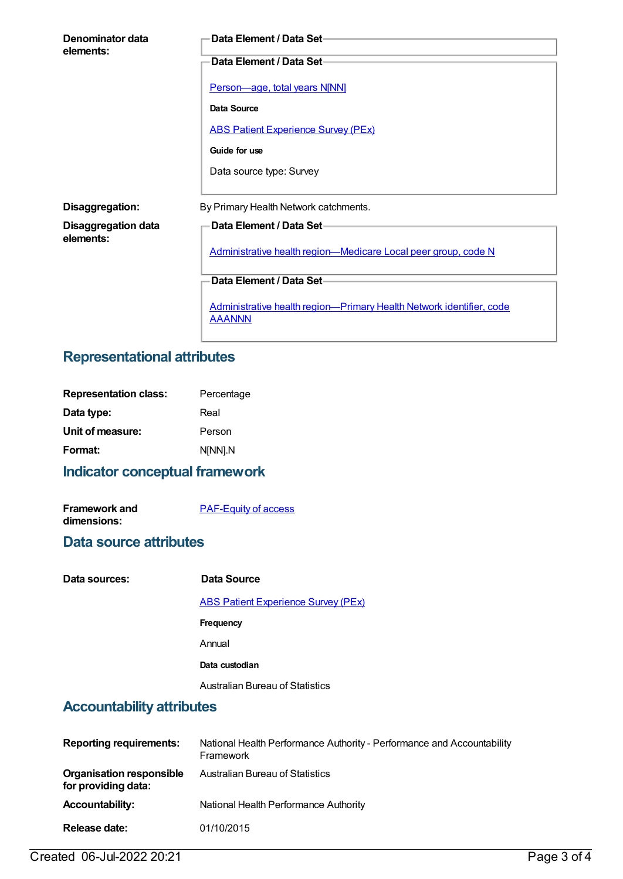| Denominator data<br>elements: | Data Element / Data Set-                                                              |
|-------------------------------|---------------------------------------------------------------------------------------|
|                               | Data Element / Data Set-                                                              |
|                               | Person-age, total years N[NN]                                                         |
|                               | Data Source                                                                           |
|                               | <b>ABS Patient Experience Survey (PEx)</b>                                            |
|                               | Guide for use                                                                         |
|                               | Data source type: Survey                                                              |
|                               |                                                                                       |
| Disaggregation:               | By Primary Health Network catchments.                                                 |
| <b>Disaggregation data</b>    | <b>Data Element / Data Set-</b>                                                       |
| elements:                     | Administrative health region-Medicare Local peer group, code N                        |
|                               | Data Element / Data Set-                                                              |
|                               | Administrative health region-Primary Health Network identifier, code<br><b>AAANNN</b> |

# **Representational attributes**

| Percentage |
|------------|
| Real       |
| Person     |
| NINNI.N    |
|            |

## **Indicator conceptual framework**

| <b>Framework and</b> | <b>PAF-Equity of access</b> |
|----------------------|-----------------------------|
| dimensions:          |                             |

#### **Data source attributes**

| Data sources: | Data Source                                |
|---------------|--------------------------------------------|
|               | <b>ABS Patient Experience Survey (PEx)</b> |
|               | Frequency                                  |
|               | Annual                                     |
|               | Data custodian                             |
|               | Australian Bureau of Statistics            |

# **Accountability attributes**

| <b>Reporting requirements:</b>                         | National Health Performance Authority - Performance and Accountability<br>Framework |
|--------------------------------------------------------|-------------------------------------------------------------------------------------|
| <b>Organisation responsible</b><br>for providing data: | <b>Australian Bureau of Statistics</b>                                              |
| <b>Accountability:</b>                                 | National Health Performance Authority                                               |
| Release date:                                          | 01/10/2015                                                                          |